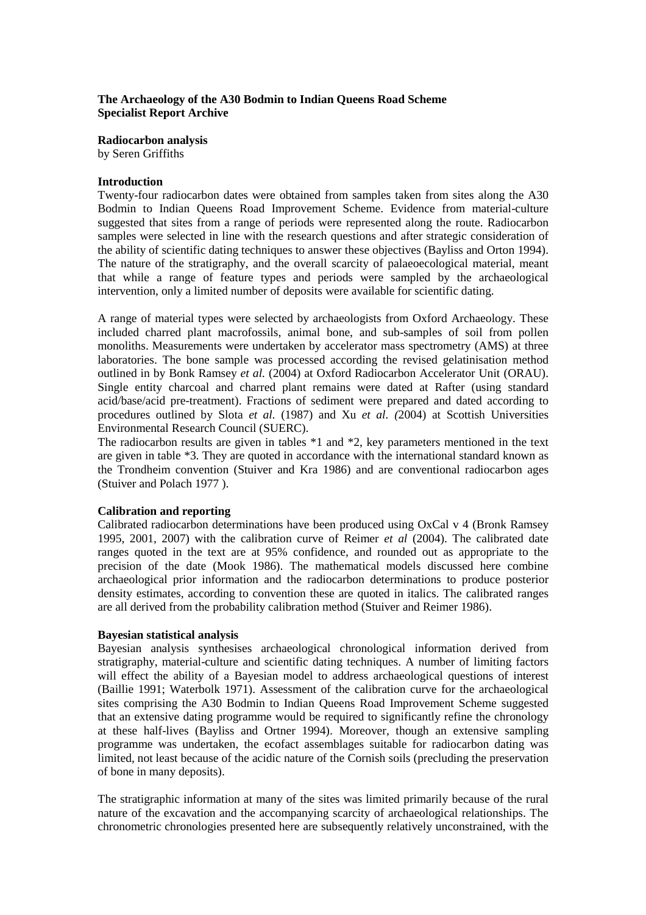# **The Archaeology of the A30 Bodmin to Indian Queens Road Scheme Specialist Report Archive**

**Radiocarbon analysis** by Seren Griffiths

# **Introduction**

Twenty-four radiocarbon dates were obtained from samples taken from sites along the A30 Bodmin to Indian Queens Road Improvement Scheme. Evidence from material-culture suggested that sites from a range of periods were represented along the route. Radiocarbon samples were selected in line with the research questions and after strategic consideration of the ability of scientific dating techniques to answer these objectives (Bayliss and Orton 1994). The nature of the stratigraphy, and the overall scarcity of palaeoecological material, meant that while a range of feature types and periods were sampled by the archaeological intervention, only a limited number of deposits were available for scientific dating.

A range of material types were selected by archaeologists from Oxford Archaeology. These included charred plant macrofossils, animal bone, and sub-samples of soil from pollen monoliths. Measurements were undertaken by accelerator mass spectrometry (AMS) at three laboratories. The bone sample was processed according the revised gelatinisation method outlined in by Bonk Ramsey *et al.* (2004) at Oxford Radiocarbon Accelerator Unit (ORAU). Single entity charcoal and charred plant remains were dated at Rafter (using standard acid/base/acid pre-treatment). Fractions of sediment were prepared and dated according to procedures outlined by Slota *et al.* (1987) and Xu *et al. (*2004) at Scottish Universities Environmental Research Council (SUERC).

The radiocarbon results are given in tables \*1 and \*2, key parameters mentioned in the text are given in table \*3. They are quoted in accordance with the international standard known as the Trondheim convention (Stuiver and Kra 1986) and are conventional radiocarbon ages (Stuiver and Polach 1977 ).

# **Calibration and reporting**

Calibrated radiocarbon determinations have been produced using OxCal v 4 (Bronk Ramsey 1995, 2001, 2007) with the calibration curve of Reimer *et al* (2004). The calibrated date ranges quoted in the text are at 95% confidence, and rounded out as appropriate to the precision of the date (Mook 1986). The mathematical models discussed here combine archaeological prior information and the radiocarbon determinations to produce posterior density estimates, according to convention these are quoted in italics. The calibrated ranges are all derived from the probability calibration method (Stuiver and Reimer 1986).

#### **Bayesian statistical analysis**

Bayesian analysis synthesises archaeological chronological information derived from stratigraphy, material-culture and scientific dating techniques. A number of limiting factors will effect the ability of a Bayesian model to address archaeological questions of interest (Baillie 1991; Waterbolk 1971). Assessment of the calibration curve for the archaeological sites comprising the A30 Bodmin to Indian Queens Road Improvement Scheme suggested that an extensive dating programme would be required to significantly refine the chronology at these half-lives (Bayliss and Ortner 1994). Moreover, though an extensive sampling programme was undertaken, the ecofact assemblages suitable for radiocarbon dating was limited, not least because of the acidic nature of the Cornish soils (precluding the preservation of bone in many deposits).

The stratigraphic information at many of the sites was limited primarily because of the rural nature of the excavation and the accompanying scarcity of archaeological relationships. The chronometric chronologies presented here are subsequently relatively unconstrained, with the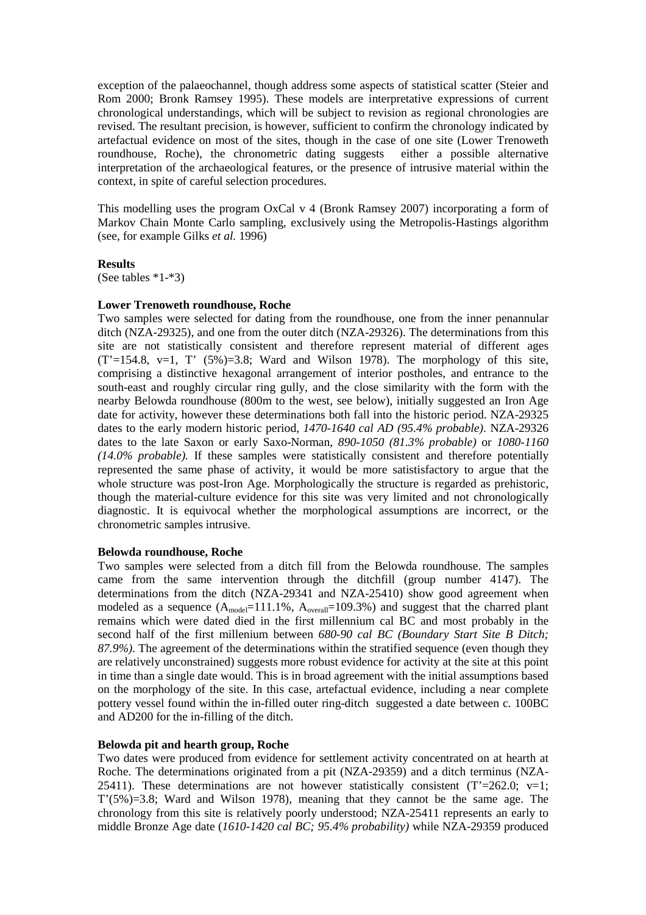exception of the palaeochannel, though address some aspects of statistical scatter (Steier and Rom 2000; Bronk Ramsey 1995). These models are interpretative expressions of current chronological understandings, which will be subject to revision as regional chronologies are revised. The resultant precision, is however, sufficient to confirm the chronology indicated by artefactual evidence on most of the sites, though in the case of one site (Lower Trenoweth roundhouse, Roche), the chronometric dating suggests either a possible alternative interpretation of the archaeological features, or the presence of intrusive material within the context, in spite of careful selection procedures.

This modelling uses the program OxCal v 4 (Bronk Ramsey 2007) incorporating a form of Markov Chain Monte Carlo sampling, exclusively using the Metropolis-Hastings algorithm (see, for example Gilks *et al.* 1996)

#### **Results**

(See tables \*1-\*3)

#### **Lower Trenoweth roundhouse, Roche**

Two samples were selected for dating from the roundhouse, one from the inner penannular ditch (NZA-29325), and one from the outer ditch (NZA-29326). The determinations from this site are not statistically consistent and therefore represent material of different ages  $(T=154.8, v=1, T' (5\%)=3.8$ ; Ward and Wilson 1978). The morphology of this site, comprising a distinctive hexagonal arrangement of interior postholes, and entrance to the south-east and roughly circular ring gully, and the close similarity with the form with the nearby Belowda roundhouse (800m to the west, see below), initially suggested an Iron Age date for activity, however these determinations both fall into the historic period. NZA-29325 dates to the early modern historic period, *1470-1640 cal AD (95.4% probable)*. NZA-29326 dates to the late Saxon or early Saxo-Norman, *890-1050 (81.3% probable)* or *1080-1160 (14.0% probable).* If these samples were statistically consistent and therefore potentially represented the same phase of activity, it would be more satistisfactory to argue that the whole structure was post-Iron Age. Morphologically the structure is regarded as prehistoric, though the material-culture evidence for this site was very limited and not chronologically diagnostic. It is equivocal whether the morphological assumptions are incorrect, or the chronometric samples intrusive.

#### **Belowda roundhouse, Roche**

Two samples were selected from a ditch fill from the Belowda roundhouse. The samples came from the same intervention through the ditchfill (group number 4147). The determinations from the ditch (NZA-29341 and NZA-25410) show good agreement when modeled as a sequence  $(A_{model}=111.1\%, A_{overall}=109.3\%)$  and suggest that the charred plant remains which were dated died in the first millennium cal BC and most probably in the second half of the first millenium between *680-90 cal BC (Boundary Start Site B Ditch; 87.9%)*. The agreement of the determinations within the stratified sequence (even though they are relatively unconstrained) suggests more robust evidence for activity at the site at this point in time than a single date would. This is in broad agreement with the initial assumptions based on the morphology of the site. In this case, artefactual evidence, including a near complete pottery vessel found within the in-filled outer ring-ditch suggested a date between c. 100BC and AD200 for the in-filling of the ditch.

# **Belowda pit and hearth group, Roche**

Two dates were produced from evidence for settlement activity concentrated on at hearth at Roche. The determinations originated from a pit (NZA-29359) and a ditch terminus (NZA-25411). These determinations are not however statistically consistent  $(T=262.0; v=1;$  $T'(5\%) = 3.8$ ; Ward and Wilson 1978), meaning that they cannot be the same age. The chronology from this site is relatively poorly understood; NZA-25411 represents an early to middle Bronze Age date (*1610-1420 cal BC; 95.4% probability)* while NZA-29359 produced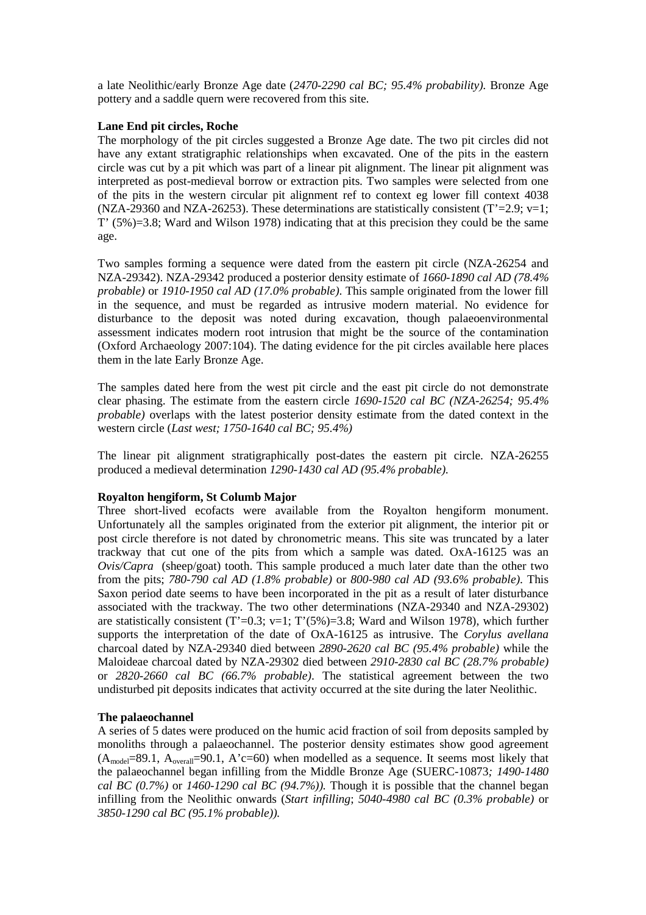a late Neolithic/early Bronze Age date (*2470-2290 cal BC; 95.4% probability).* Bronze Age pottery and a saddle quern were recovered from this site.

# **Lane End pit circles, Roche**

The morphology of the pit circles suggested a Bronze Age date. The two pit circles did not have any extant stratigraphic relationships when excavated. One of the pits in the eastern circle was cut by a pit which was part of a linear pit alignment. The linear pit alignment was interpreted as post-medieval borrow or extraction pits. Two samples were selected from one of the pits in the western circular pit alignment ref to context eg lower fill context 4038 (NZA-29360 and NZA-26253). These determinations are statistically consistent (T'=2.9; v=1; T' (5%)=3.8; Ward and Wilson 1978) indicating that at this precision they could be the same age.

Two samples forming a sequence were dated from the eastern pit circle (NZA-26254 and NZA-29342). NZA-29342 produced a posterior density estimate of *1660-1890 cal AD (78.4% probable)* or *1910-1950 cal AD (17.0% probable)*. This sample originated from the lower fill in the sequence, and must be regarded as intrusive modern material. No evidence for disturbance to the deposit was noted during excavation, though palaeoenvironmental assessment indicates modern root intrusion that might be the source of the contamination (Oxford Archaeology 2007:104). The dating evidence for the pit circles available here places them in the late Early Bronze Age.

The samples dated here from the west pit circle and the east pit circle do not demonstrate clear phasing. The estimate from the eastern circle *1690-1520 cal BC (NZA-26254; 95.4% probable)* overlaps with the latest posterior density estimate from the dated context in the western circle (*Last west; 1750-1640 cal BC; 95.4%)*

The linear pit alignment stratigraphically post-dates the eastern pit circle. NZA-26255 produced a medieval determination *1290-1430 cal AD (95.4% probable).*

# **Royalton hengiform, St Columb Major**

Three short-lived ecofacts were available from the Royalton hengiform monument. Unfortunately all the samples originated from the exterior pit alignment, the interior pit or post circle therefore is not dated by chronometric means. This site was truncated by a later trackway that cut one of the pits from which a sample was dated. OxA-16125 was an *Ovis/Capra* (sheep/goat) tooth. This sample produced a much later date than the other two from the pits; *780-790 cal AD (1.8% probable)* or *800-980 cal AD (93.6% probable)*. This Saxon period date seems to have been incorporated in the pit as a result of later disturbance associated with the trackway. The two other determinations (NZA-29340 and NZA-29302) are statistically consistent (T'=0.3; v=1; T'(5%)=3.8; Ward and Wilson 1978), which further supports the interpretation of the date of OxA-16125 as intrusive. The *Corylus avellana* charcoal dated by NZA-29340 died between *2890-2620 cal BC (95.4% probable)* while the Maloideae charcoal dated by NZA-29302 died between *2910-2830 cal BC (28.7% probable)* or *2820-2660 cal BC (66.7% probable)*. The statistical agreement between the two undisturbed pit deposits indicates that activity occurred at the site during the later Neolithic.

# **The palaeochannel**

A series of 5 dates were produced on the humic acid fraction of soil from deposits sampled by monoliths through a palaeochannel. The posterior density estimates show good agreement  $(A_{model}=89.1, A_{overall}=90.1, A'c=60)$  when modelled as a sequence. It seems most likely that the palaeochannel began infilling from the Middle Bronze Age (SUERC*-*10873*; 1490-1480 cal BC (0.7%)* or *1460-1290 cal BC (94.7%)).* Though it is possible that the channel began infilling from the Neolithic onwards (*Start infilling*; *5040-4980 cal BC (0.3% probable)* or *3850-1290 cal BC (95.1% probable)).*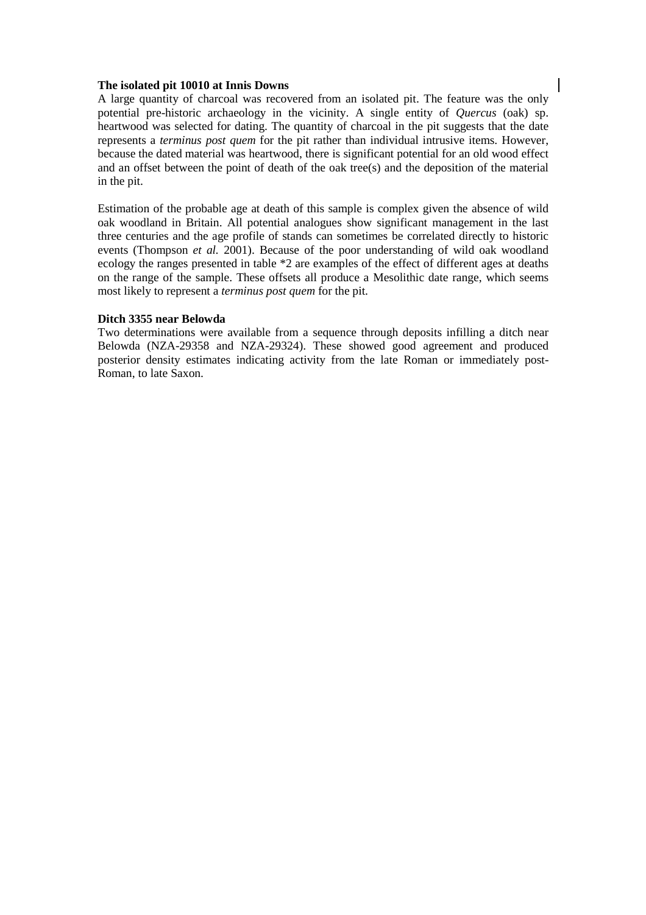#### **The isolated pit 10010 at Innis Downs**

A large quantity of charcoal was recovered from an isolated pit. The feature was the only potential pre-historic archaeology in the vicinity. A single entity of *Quercus* (oak) sp. heartwood was selected for dating. The quantity of charcoal in the pit suggests that the date represents a *terminus post quem* for the pit rather than individual intrusive items. However, because the dated material was heartwood, there is significant potential for an old wood effect and an offset between the point of death of the oak tree(s) and the deposition of the material in the pit.

Estimation of the probable age at death of this sample is complex given the absence of wild oak woodland in Britain. All potential analogues show significant management in the last three centuries and the age profile of stands can sometimes be correlated directly to historic events (Thompson *et al.* 2001). Because of the poor understanding of wild oak woodland ecology the ranges presented in table \*2 are examples of the effect of different ages at deaths on the range of the sample. These offsets all produce a Mesolithic date range, which seems most likely to represent a *terminus post quem* for the pit.

#### **Ditch 3355 near Belowda**

Two determinations were available from a sequence through deposits infilling a ditch near Belowda (NZA-29358 and NZA-29324). These showed good agreement and produced posterior density estimates indicating activity from the late Roman or immediately post-Roman, to late Saxon.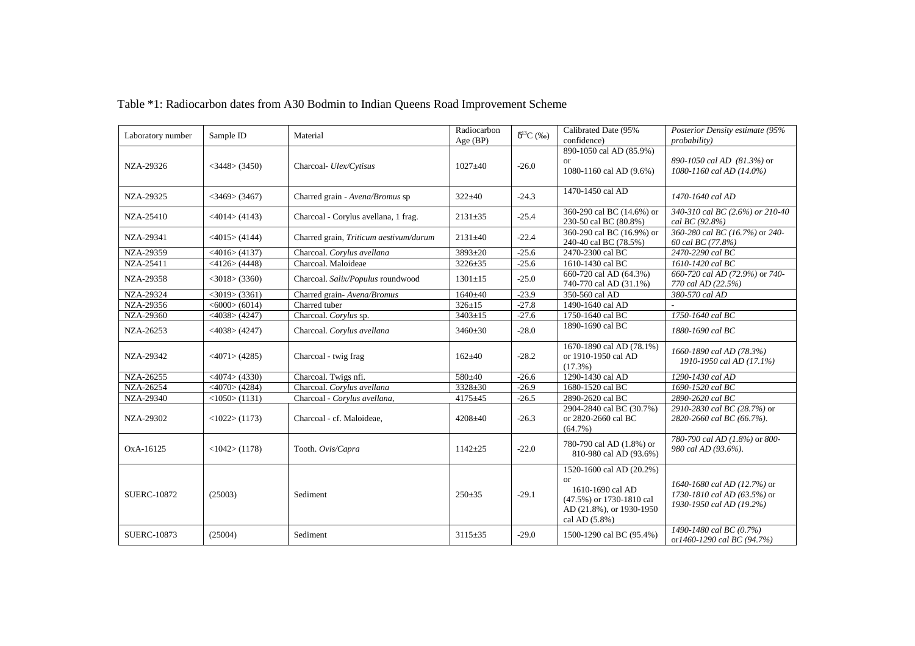| Laboratory number  | Sample ID           | Material                               | Radiocarbon<br>Age (BP) | $\delta^{13}C$ (%o) | Calibrated Date (95%<br>confidence)                                                                                         | Posterior Density estimate (95%<br><i>probability</i> )                                |
|--------------------|---------------------|----------------------------------------|-------------------------|---------------------|-----------------------------------------------------------------------------------------------------------------------------|----------------------------------------------------------------------------------------|
| NZA-29326          | $<$ 3448 $>$ (3450) | Charcoal- Ulex/Cytisus                 | $1027 + 40$             | $-26.0$             | 890-1050 cal AD (85.9%)<br><b>or</b><br>1080-1160 cal AD (9.6%)                                                             | 890-1050 cal AD (81.3%) or<br>1080-1160 cal AD (14.0%)                                 |
| NZA-29325          | $<$ 3469> (3467)    | Charred grain - Avena/Bromus sp        | $322 + 40$              | $-24.3$             | 1470-1450 cal AD                                                                                                            | 1470-1640 cal AD                                                                       |
| NZA-25410          | $<$ 4014 $>$ (4143) | Charcoal - Corylus avellana, 1 frag.   | $2131 \pm 35$           | $-25.4$             | 360-290 cal BC (14.6%) or<br>230-50 cal BC (80.8%)                                                                          | 340-310 cal BC (2.6%) or 210-40<br>cal BC (92.8%)                                      |
| NZA-29341          | $<$ 4015 $>$ (4144) | Charred grain, Triticum aestivum/durum | $2131 \pm 40$           | $-22.4$             | 360-290 cal BC (16.9%) or<br>240-40 cal BC (78.5%)                                                                          | 360-280 cal BC (16.7%) or 240-<br>60 cal BC (77.8%)                                    |
| NZA-29359          | $<$ 4016 $>$ (4137) | Charcoal. Corylus avellana             | $3893 + 20$             | $-25.6$             | 2470-2300 cal BC                                                                                                            | 2470-2290 cal BC                                                                       |
| NZA-25411          | $<$ 4126 $>$ (4448) | Charcoal. Maloideae                    | $3226 \pm 35$           | $-25.6$             | 1610-1430 cal BC                                                                                                            | 1610-1420 cal BC                                                                       |
| NZA-29358          | $<$ 3018 $>$ (3360) | Charcoal. Salix/Populus roundwood      | $1301 \pm 15$           | $-25.0$             | 660-720 cal AD (64.3%)<br>740-770 cal AD (31.1%)                                                                            | 660-720 cal AD (72.9%) or 740-<br>770 cal AD (22.5%)                                   |
| <b>NZA-29324</b>   | $<$ 3019 $>$ (3361) | Charred grain-Avena/Bromus             | 1640±40                 | $-23.9$             | 350-560 cal AD                                                                                                              | 380-570 cal AD                                                                         |
| NZA-29356          | $<$ 6000 $>$ (6014) | Charred tuber                          | $326 \pm 15$            | $-27.8$             | 1490-1640 cal AD                                                                                                            |                                                                                        |
| NZA-29360          | $<$ 4038> (4247)    | Charcoal. Corylus sp.                  | $3403 \pm 15$           | $-27.6$             | 1750-1640 cal BC                                                                                                            | 1750-1640 cal BC                                                                       |
| NZA-26253          | $<$ 4038> (4247)    | Charcoal. Corylus avellana             | $3460 + 30$             | $-28.0$             | 1890-1690 cal BC                                                                                                            | 1880-1690 cal BC                                                                       |
| NZA-29342          | $<$ 4071 $>$ (4285) | Charcoal - twig frag                   | $162 \pm 40$            | $-28.2$             | 1670-1890 cal AD (78.1%)<br>or 1910-1950 cal AD<br>$(17.3\%)$                                                               | 1660-1890 cal AD (78.3%)<br>1910-1950 cal AD (17.1%)                                   |
| NZA-26255          | $<$ 4074 $>$ (4330) | Charcoal. Twigs nfi.                   | 580±40                  | $-26.6$             | 1290-1430 cal AD                                                                                                            | 1290-1430 cal AD                                                                       |
| NZA-26254          | $<$ 4070 $>$ (4284) | Charcoal. Corylus avellana             | $3328 + 30$             | $-26.9$             | 1680-1520 cal BC                                                                                                            | 1690-1520 cal BC                                                                       |
| NZA-29340          | <1050>(1131)        | Charcoal - Corylus avellana,           | $4175 + 45$             | $-26.5$             | 2890-2620 cal BC                                                                                                            | 2890-2620 cal BC                                                                       |
| NZA-29302          | <1022>(1173)        | Charcoal - cf. Maloideae,              | $4208 + 40$             | $-26.3$             | 2904-2840 cal BC (30.7%)<br>or 2820-2660 cal BC<br>$(64.7\%)$                                                               | 2910-2830 cal BC (28.7%) or<br>2820-2660 cal BC (66.7%).                               |
| OxA-16125          | $<$ 1042> (1178)    | Tooth. Ovis/Capra                      | $1142 + 25$             | $-22.0$             | 780-790 cal AD (1.8%) or<br>810-980 cal AD (93.6%)                                                                          | 780-790 cal AD (1.8%) or 800-<br>980 cal AD (93.6%).                                   |
| <b>SUERC-10872</b> | (25003)             | Sediment                               | $250 + 35$              | $-29.1$             | 1520-1600 cal AD (20.2%)<br>or<br>1610-1690 cal AD<br>(47.5%) or 1730-1810 cal<br>AD (21.8%), or 1930-1950<br>cal AD (5.8%) | 1640-1680 cal AD (12.7%) or<br>1730-1810 cal AD (63.5%) or<br>1930-1950 cal AD (19.2%) |
| <b>SUERC-10873</b> | (25004)             | Sediment                               | $3115 \pm 35$           | $-29.0$             | 1500-1290 cal BC (95.4%)                                                                                                    | 1490-1480 cal BC (0.7%)<br>or1460-1290 cal BC (94.7%)                                  |

# Table \*1: Radiocarbon dates from A30 Bodmin to Indian Queens Road Improvement Scheme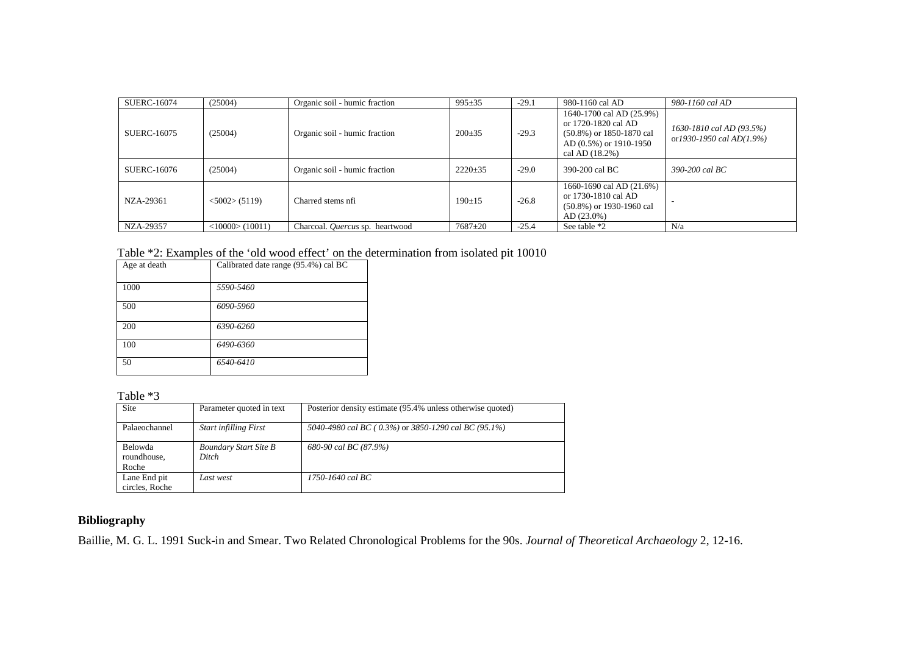| <b>SUERC-16074</b> | (25004)             | Organic soil - humic fraction          | $995 + 35$    | $-29.1$ | 980-1160 cal AD                                                                                                            | 980-1160 cal AD                                              |
|--------------------|---------------------|----------------------------------------|---------------|---------|----------------------------------------------------------------------------------------------------------------------------|--------------------------------------------------------------|
| SUERC-16075        | (25004)             | Organic soil - humic fraction          | $200 \pm 35$  | $-29.3$ | 1640-1700 cal AD (25.9%)<br>or 1720-1820 cal AD<br>$(50.8\%)$ or 1850-1870 cal<br>AD (0.5%) or 1910-1950<br>cal AD (18.2%) | 1630-1810 cal AD (93.5%)<br>or $1930 - 1950$ cal $AD(1.9\%)$ |
| SUERC-16076        | (25004)             | Organic soil - humic fraction          | $2220 \pm 35$ | $-29.0$ | 390-200 cal BC                                                                                                             | 390-200 cal BC                                               |
| NZA-29361          | $<$ 5002 $>$ (5119) | Charred stems nfi                      | $190+15$      | $-26.8$ | 1660-1690 cal AD (21.6%)<br>or 1730-1810 cal AD<br>$(50.8\%)$ or 1930-1960 cal<br>$AD(23.0\%)$                             |                                                              |
| NZA-29357          | <10000>(10011)      | Charcoal. <i>Ouercus</i> sp. heartwood | $7687 + 20$   | $-25.4$ | See table *2                                                                                                               | N/a                                                          |

| Table *2: Examples of the 'old wood effect' on the determination from isolated pit 10010 |  |  |  |
|------------------------------------------------------------------------------------------|--|--|--|
|------------------------------------------------------------------------------------------|--|--|--|

| Age at death | Calibrated date range (95.4%) cal BC |
|--------------|--------------------------------------|
| 1000         | 5590-5460                            |
| 500          | 6090-5960                            |
| 200          | 6390-6260                            |
| 100          | 6490-6360                            |
| 50           | 6540-6410                            |

Table \*3

| Site                            | Parameter quoted in text              | Posterior density estimate (95.4% unless otherwise quoted) |
|---------------------------------|---------------------------------------|------------------------------------------------------------|
| Palaeochannel                   | <b>Start infilling First</b>          | 5040-4980 cal BC (0.3%) or 3850-1290 cal BC (95.1%)        |
| Belowda<br>roundhouse,<br>Roche | <b>Boundary Start Site B</b><br>Ditch | 680-90 cal BC (87.9%)                                      |
| Lane End pit<br>circles. Roche  | Last west                             | $1750 - 1640$ cal BC                                       |

# **Bibliography**

Baillie, M. G. L. 1991 Suck-in and Smear. Two Related Chronological Problems for the 90s. *Journal of Theoretical Archaeology* 2, 12-16.